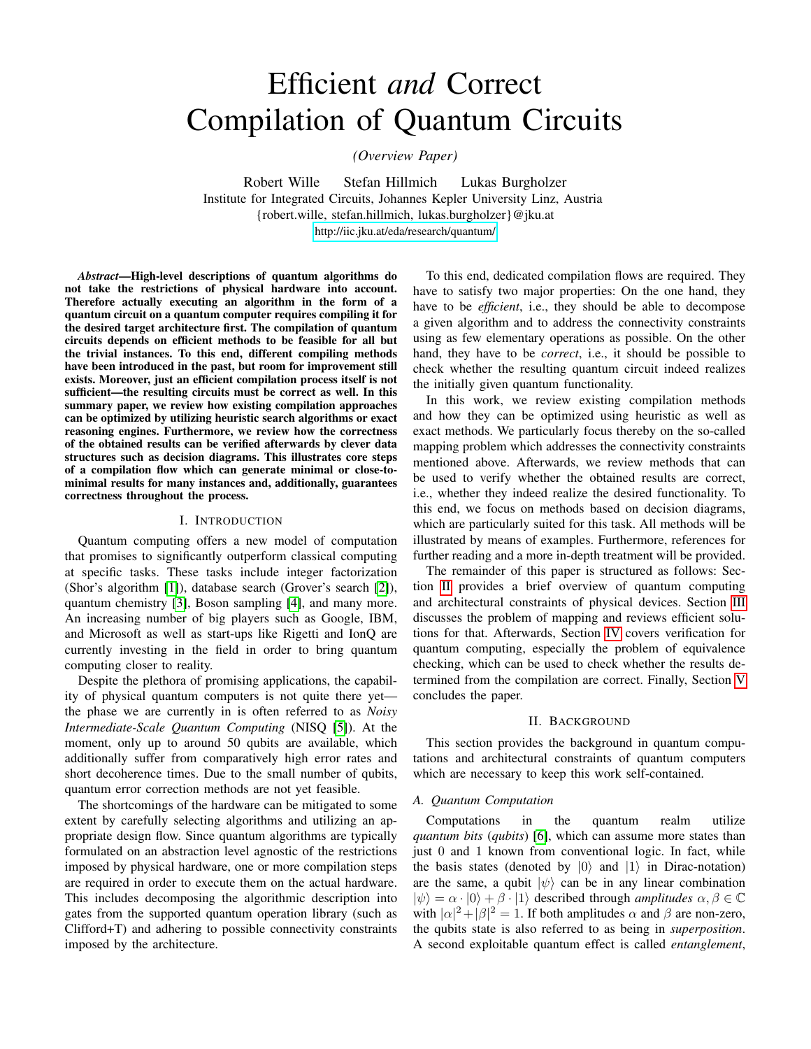# Efficient *and* Correct Compilation of Quantum Circuits

*(Overview Paper)*

Robert Wille Stefan Hillmich Lukas Burgholzer Institute for Integrated Circuits, Johannes Kepler University Linz, Austria {robert.wille, stefan.hillmich, lukas.burgholzer}@jku.at <http://iic.jku.at/eda/research/quantum/>

*Abstract*—High-level descriptions of quantum algorithms do not take the restrictions of physical hardware into account. Therefore actually executing an algorithm in the form of a quantum circuit on a quantum computer requires compiling it for the desired target architecture first. The compilation of quantum circuits depends on efficient methods to be feasible for all but the trivial instances. To this end, different compiling methods have been introduced in the past, but room for improvement still exists. Moreover, just an efficient compilation process itself is not sufficient—the resulting circuits must be correct as well. In this summary paper, we review how existing compilation approaches can be optimized by utilizing heuristic search algorithms or exact reasoning engines. Furthermore, we review how the correctness of the obtained results can be verified afterwards by clever data structures such as decision diagrams. This illustrates core steps of a compilation flow which can generate minimal or close-tominimal results for many instances and, additionally, guarantees correctness throughout the process.

#### I. INTRODUCTION

Quantum computing offers a new model of computation that promises to significantly outperform classical computing at specific tasks. These tasks include integer factorization (Shor's algorithm [\[1\]](#page-4-0)), database search (Grover's search [\[2\]](#page-4-1)), quantum chemistry [\[3\]](#page-4-2), Boson sampling [\[4\]](#page-4-3), and many more. An increasing number of big players such as Google, IBM, and Microsoft as well as start-ups like Rigetti and IonQ are currently investing in the field in order to bring quantum computing closer to reality.

Despite the plethora of promising applications, the capability of physical quantum computers is not quite there yet the phase we are currently in is often referred to as *Noisy Intermediate-Scale Quantum Computing* (NISQ [\[5\]](#page-4-4)). At the moment, only up to around 50 qubits are available, which additionally suffer from comparatively high error rates and short decoherence times. Due to the small number of qubits, quantum error correction methods are not yet feasible.

The shortcomings of the hardware can be mitigated to some extent by carefully selecting algorithms and utilizing an appropriate design flow. Since quantum algorithms are typically formulated on an abstraction level agnostic of the restrictions imposed by physical hardware, one or more compilation steps are required in order to execute them on the actual hardware. This includes decomposing the algorithmic description into gates from the supported quantum operation library (such as Clifford+T) and adhering to possible connectivity constraints imposed by the architecture.

To this end, dedicated compilation flows are required. They have to satisfy two major properties: On the one hand, they have to be *efficient*, i.e., they should be able to decompose a given algorithm and to address the connectivity constraints using as few elementary operations as possible. On the other hand, they have to be *correct*, i.e., it should be possible to check whether the resulting quantum circuit indeed realizes the initially given quantum functionality.

In this work, we review existing compilation methods and how they can be optimized using heuristic as well as exact methods. We particularly focus thereby on the so-called mapping problem which addresses the connectivity constraints mentioned above. Afterwards, we review methods that can be used to verify whether the obtained results are correct, i.e., whether they indeed realize the desired functionality. To this end, we focus on methods based on decision diagrams, which are particularly suited for this task. All methods will be illustrated by means of examples. Furthermore, references for further reading and a more in-depth treatment will be provided.

The remainder of this paper is structured as follows: Section [II](#page-0-0) provides a brief overview of quantum computing and architectural constraints of physical devices. Section [III](#page-1-0) discusses the problem of mapping and reviews efficient solutions for that. Afterwards, Section [IV](#page-3-0) covers verification for quantum computing, especially the problem of equivalence checking, which can be used to check whether the results determined from the compilation are correct. Finally, Section [V](#page-3-1) concludes the paper.

## II. BACKGROUND

<span id="page-0-0"></span>This section provides the background in quantum computations and architectural constraints of quantum computers which are necessary to keep this work self-contained.

## *A. Quantum Computation*

Computations in the quantum realm utilize *quantum bits* (*qubits*) [\[6\]](#page-4-5), which can assume more states than just 0 and 1 known from conventional logic. In fact, while the basis states (denoted by  $|0\rangle$  and  $|1\rangle$  in Dirac-notation) are the same, a qubit  $|\psi\rangle$  can be in any linear combination  $|\psi\rangle = \alpha \cdot |0\rangle + \beta \cdot |1\rangle$  described through *amplitudes*  $\alpha, \beta \in \mathbb{C}$ with  $|\alpha|^2 + |\beta|^2 = 1$ . If both amplitudes  $\alpha$  and  $\beta$  are non-zero, the qubits state is also referred to as being in *superposition*. A second exploitable quantum effect is called *entanglement*,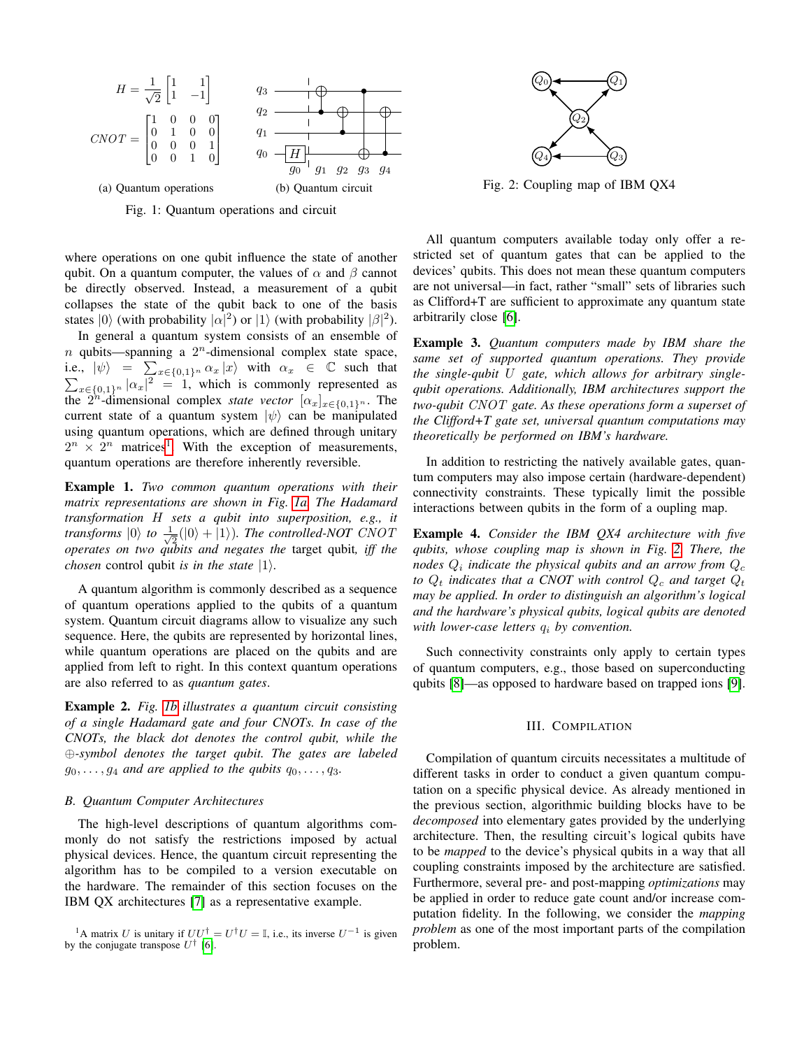<span id="page-1-2"></span>

Fig. 1: Quantum operations and circuit

where operations on one qubit influence the state of another qubit. On a quantum computer, the values of  $\alpha$  and  $\beta$  cannot be directly observed. Instead, a measurement of a qubit collapses the state of the qubit back to one of the basis states  $|0\rangle$  (with probability  $|\alpha|^2$ ) or  $|1\rangle$  (with probability  $|\beta|^2$ ).

In general a quantum system consists of an ensemble of  $n$  qubits—spanning a  $2^n$ -dimensional complex state space, i.e.,  $|\psi\rangle = \sum_{x \in \{0,1\}^n} \alpha_x |x\rangle$  with  $\alpha_x \in \mathbb{C}$  such that  $\sum_{x \in \{0,1\}^n} |\alpha_x|^2 = 1$ , which is commonly represented as the  $2^n$ -dimensional complex *state vector*  $[\alpha_x]_{x \in \{0,1\}^n}$ . The current state of a quantum system  $|\psi\rangle$  can be manipulated using quantum operations, which are defined through unitary  $2^n \times 2^n$  matrices<sup>[1](#page-1-1)</sup>. With the exception of measurements, quantum operations are therefore inherently reversible.

Example 1. *Two common quantum operations with their matrix representations are shown in Fig. [1a.](#page-1-2) The Hadamard transformation* H *sets a qubit into superposition, e.g., it transforms*  $|0\rangle$  *to*  $\frac{1}{\sqrt{2}}$  $\frac{1}{2}(|0\rangle + |1\rangle)$ . The controlled-NOT CNOT *operates on two qubits and negates the* target qubit*, iff the chosen* control qubit *is in the state*  $|1\rangle$ *.* 

A quantum algorithm is commonly described as a sequence of quantum operations applied to the qubits of a quantum system. Quantum circuit diagrams allow to visualize any such sequence. Here, the qubits are represented by horizontal lines, while quantum operations are placed on the qubits and are applied from left to right. In this context quantum operations are also referred to as *quantum gates*.

Example 2. *Fig. [1b](#page-1-2) illustrates a quantum circuit consisting of a single Hadamard gate and four CNOTs. In case of the CNOTs, the black dot denotes the control qubit, while the* ⊕*-symbol denotes the target qubit. The gates are labeled*  $g_0, \ldots, g_4$  *and are applied to the qubits*  $q_0, \ldots, q_3$ *.* 

#### <span id="page-1-4"></span>*B. Quantum Computer Architectures*

The high-level descriptions of quantum algorithms commonly do not satisfy the restrictions imposed by actual physical devices. Hence, the quantum circuit representing the algorithm has to be compiled to a version executable on the hardware. The remainder of this section focuses on the IBM QX architectures [\[7\]](#page-4-6) as a representative example.

<span id="page-1-3"></span>

Fig. 2: Coupling map of IBM QX4

All quantum computers available today only offer a restricted set of quantum gates that can be applied to the devices' qubits. This does not mean these quantum computers are not universal—in fact, rather "small" sets of libraries such as Clifford+T are sufficient to approximate any quantum state arbitrarily close [\[6\]](#page-4-5).

Example 3. *Quantum computers made by IBM share the same set of supported quantum operations. They provide the single-qubit* U *gate, which allows for arbitrary singlequbit operations. Additionally, IBM architectures support the two-qubit* CNOT *gate. As these operations form a superset of the Clifford+T gate set, universal quantum computations may theoretically be performed on IBM's hardware.*

In addition to restricting the natively available gates, quantum computers may also impose certain (hardware-dependent) connectivity constraints. These typically limit the possible interactions between qubits in the form of a oupling map.

Example 4. *Consider the IBM QX4 architecture with five qubits, whose coupling map is shown in Fig. [2.](#page-1-3) There, the*  $nodes$   $Q_i$  indicate the physical qubits and an arrow from  $Q_c$ *to*  $Q_t$  *indicates that a CNOT with control*  $Q_c$  *and target*  $Q_t$ *may be applied. In order to distinguish an algorithm's logical and the hardware's physical qubits, logical qubits are denoted with lower-case letters* q<sup>i</sup> *by convention.*

Such connectivity constraints only apply to certain types of quantum computers, e.g., those based on superconducting qubits [\[8\]](#page-4-7)—as opposed to hardware based on trapped ions [\[9\]](#page-4-8).

#### III. COMPILATION

<span id="page-1-0"></span>Compilation of quantum circuits necessitates a multitude of different tasks in order to conduct a given quantum computation on a specific physical device. As already mentioned in the previous section, algorithmic building blocks have to be *decomposed* into elementary gates provided by the underlying architecture. Then, the resulting circuit's logical qubits have to be *mapped* to the device's physical qubits in a way that all coupling constraints imposed by the architecture are satisfied. Furthermore, several pre- and post-mapping *optimizations* may be applied in order to reduce gate count and/or increase computation fidelity. In the following, we consider the *mapping problem* as one of the most important parts of the compilation problem.

<span id="page-1-1"></span><sup>&</sup>lt;sup>1</sup>A matrix U is unitary if  $UU^{\dagger} = U^{\dagger}U = \mathbb{I}$ , i.e., its inverse  $U^{-1}$  is given by the conjugate transpose  $U^{\dagger}$  [\[6\]](#page-4-5).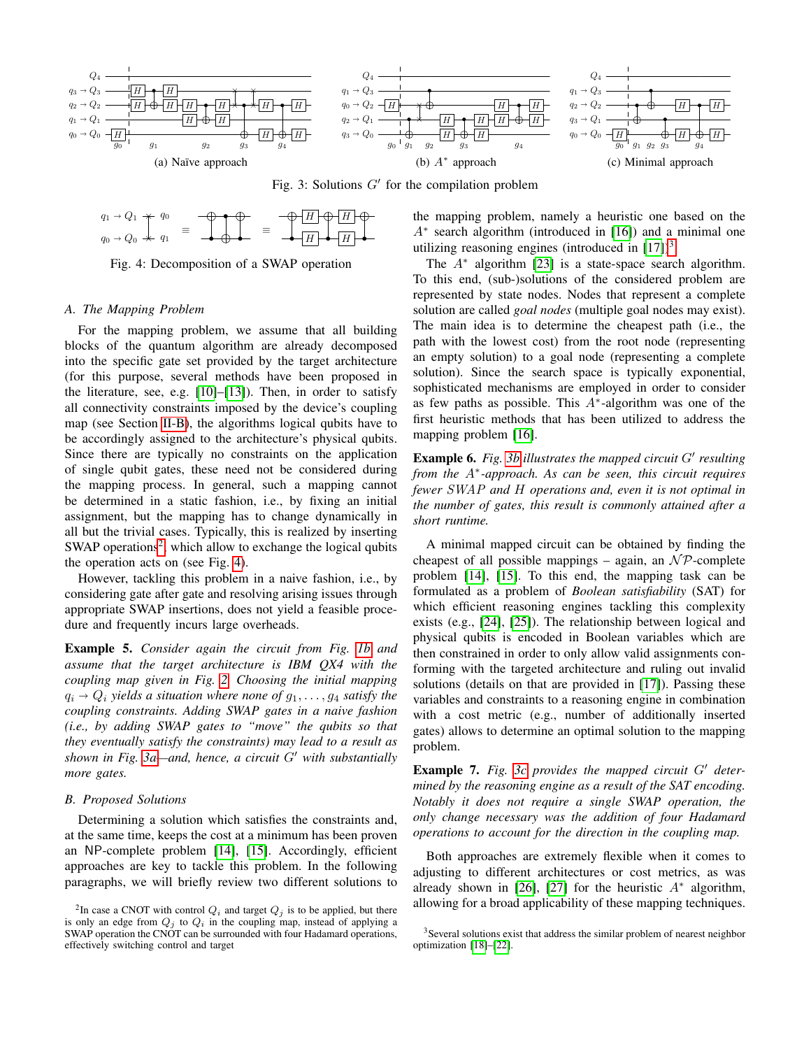<span id="page-2-2"></span>

Fig. 3: Solutions  $G'$  for the compilation problem

<span id="page-2-1"></span>

Fig. 4: Decomposition of a SWAP operation

#### *A. The Mapping Problem*

For the mapping problem, we assume that all building blocks of the quantum algorithm are already decomposed into the specific gate set provided by the target architecture (for this purpose, several methods have been proposed in the literature, see, e.g. [\[10\]](#page-4-9)–[\[13\]](#page-4-10)). Then, in order to satisfy all connectivity constraints imposed by the device's coupling map (see Section [II-B\)](#page-1-4), the algorithms logical qubits have to be accordingly assigned to the architecture's physical qubits. Since there are typically no constraints on the application of single qubit gates, these need not be considered during the mapping process. In general, such a mapping cannot be determined in a static fashion, i.e., by fixing an initial assignment, but the mapping has to change dynamically in all but the trivial cases. Typically, this is realized by inserting SWAP operations<sup>[2](#page-2-0)</sup>, which allow to exchange the logical qubits the operation acts on (see Fig. [4\)](#page-2-1).

However, tackling this problem in a naive fashion, i.e., by considering gate after gate and resolving arising issues through appropriate SWAP insertions, does not yield a feasible procedure and frequently incurs large overheads.

Example 5. *Consider again the circuit from Fig. [1b](#page-1-2) and assume that the target architecture is IBM QX4 with the coupling map given in Fig. [2.](#page-1-3) Choosing the initial mapping*  $q_i \rightarrow Q_i$  yields a situation where none of  $q_1, \ldots, q_4$  satisfy the *coupling constraints. Adding SWAP gates in a naive fashion (i.e., by adding SWAP gates to "move" the qubits so that they eventually satisfy the constraints) may lead to a result as shown in Fig. [3a—](#page-2-2)and, hence, a circuit*  $G'$  *with substantially more gates.*

## *B. Proposed Solutions*

Determining a solution which satisfies the constraints and, at the same time, keeps the cost at a minimum has been proven an NP-complete problem [\[14\]](#page-4-11), [\[15\]](#page-4-12). Accordingly, efficient approaches are key to tackle this problem. In the following paragraphs, we will briefly review two different solutions to the mapping problem, namely a heuristic one based on the A<sup>∗</sup> search algorithm (introduced in [\[16\]](#page-4-13)) and a minimal one utilizing reasoning engines (introduced in  $[17]$ )<sup>[3](#page-2-3)</sup>.

The A<sup>∗</sup> algorithm [\[23\]](#page-4-15) is a state-space search algorithm. To this end, (sub-)solutions of the considered problem are represented by state nodes. Nodes that represent a complete solution are called *goal nodes* (multiple goal nodes may exist). The main idea is to determine the cheapest path (i.e., the path with the lowest cost) from the root node (representing an empty solution) to a goal node (representing a complete solution). Since the search space is typically exponential, sophisticated mechanisms are employed in order to consider as few paths as possible. This  $A^*$ -algorithm was one of the first heuristic methods that has been utilized to address the mapping problem [\[16\]](#page-4-13).

**Example 6.** Fig. [3b](#page-2-2) illustrates the mapped circuit  $G'$  resulting *from the* A<sup>∗</sup> *-approach. As can be seen, this circuit requires fewer* SWAP *and* H *operations and, even it is not optimal in the number of gates, this result is commonly attained after a short runtime.*

A minimal mapped circuit can be obtained by finding the cheapest of all possible mappings – again, an  $\mathcal{NP}$ -complete problem [\[14\]](#page-4-11), [\[15\]](#page-4-12). To this end, the mapping task can be formulated as a problem of *Boolean satisfiability* (SAT) for which efficient reasoning engines tackling this complexity exists (e.g., [\[24\]](#page-4-16), [\[25\]](#page-4-17)). The relationship between logical and physical qubits is encoded in Boolean variables which are then constrained in order to only allow valid assignments conforming with the targeted architecture and ruling out invalid solutions (details on that are provided in [\[17\]](#page-4-14)). Passing these variables and constraints to a reasoning engine in combination with a cost metric (e.g., number of additionally inserted gates) allows to determine an optimal solution to the mapping problem.

**Example 7.** Fig. [3c](#page-2-2) provides the mapped circuit G' deter*mined by the reasoning engine as a result of the SAT encoding. Notably it does not require a single SWAP operation, the only change necessary was the addition of four Hadamard operations to account for the direction in the coupling map.*

Both approaches are extremely flexible when it comes to adjusting to different architectures or cost metrics, as was already shown in [\[26\]](#page-4-18), [\[27\]](#page-4-19) for the heuristic  $A^*$  algorithm, allowing for a broad applicability of these mapping techniques.

<span id="page-2-0"></span><sup>&</sup>lt;sup>2</sup>In case a CNOT with control  $Q_i$  and target  $Q_j$  is to be applied, but there is only an edge from  $Q_i$  to  $Q_i$  in the coupling map, instead of applying a SWAP operation the CNOT can be surrounded with four Hadamard operations, effectively switching control and target

<span id="page-2-3"></span><sup>&</sup>lt;sup>3</sup>Several solutions exist that address the similar problem of nearest neighbor optimization [\[18\]](#page-4-20)–[\[22\]](#page-4-21).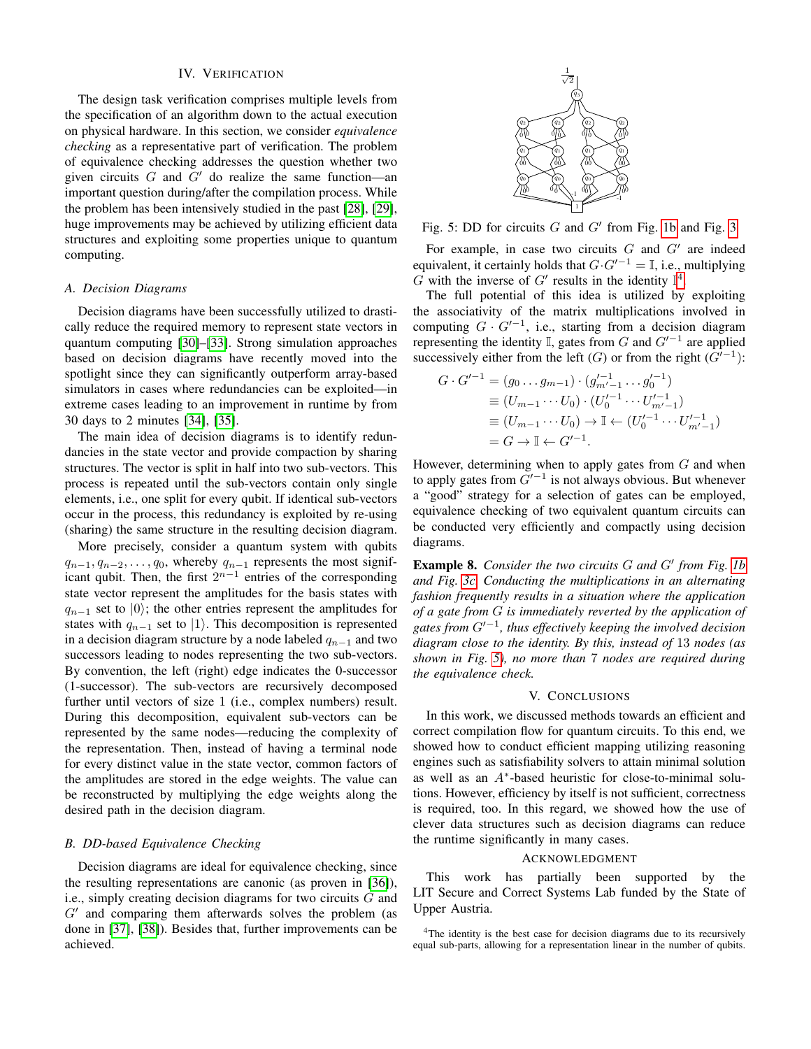## IV. VERIFICATION

<span id="page-3-0"></span>The design task verification comprises multiple levels from the specification of an algorithm down to the actual execution on physical hardware. In this section, we consider *equivalence checking* as a representative part of verification. The problem of equivalence checking addresses the question whether two given circuits  $G$  and  $G'$  do realize the same function—an important question during/after the compilation process. While the problem has been intensively studied in the past [\[28\]](#page-4-22), [\[29\]](#page-4-23), huge improvements may be achieved by utilizing efficient data structures and exploiting some properties unique to quantum computing.

#### *A. Decision Diagrams*

Decision diagrams have been successfully utilized to drastically reduce the required memory to represent state vectors in quantum computing [\[30\]](#page-4-24)–[\[33\]](#page-4-25). Strong simulation approaches based on decision diagrams have recently moved into the spotlight since they can significantly outperform array-based simulators in cases where redundancies can be exploited—in extreme cases leading to an improvement in runtime by from 30 days to 2 minutes [\[34\]](#page-4-26), [\[35\]](#page-4-27).

The main idea of decision diagrams is to identify redundancies in the state vector and provide compaction by sharing structures. The vector is split in half into two sub-vectors. This process is repeated until the sub-vectors contain only single elements, i.e., one split for every qubit. If identical sub-vectors occur in the process, this redundancy is exploited by re-using (sharing) the same structure in the resulting decision diagram.

More precisely, consider a quantum system with qubits  $q_{n-1}, q_{n-2}, \ldots, q_0$ , whereby  $q_{n-1}$  represents the most significant qubit. Then, the first  $2^{n-1}$  entries of the corresponding state vector represent the amplitudes for the basis states with  $q_{n-1}$  set to  $|0\rangle$ ; the other entries represent the amplitudes for states with  $q_{n-1}$  set to  $|1\rangle$ . This decomposition is represented in a decision diagram structure by a node labeled  $q_{n-1}$  and two successors leading to nodes representing the two sub-vectors. By convention, the left (right) edge indicates the 0-successor (1-successor). The sub-vectors are recursively decomposed further until vectors of size 1 (i.e., complex numbers) result. During this decomposition, equivalent sub-vectors can be represented by the same nodes—reducing the complexity of the representation. Then, instead of having a terminal node for every distinct value in the state vector, common factors of the amplitudes are stored in the edge weights. The value can be reconstructed by multiplying the edge weights along the desired path in the decision diagram.

## *B. DD-based Equivalence Checking*

Decision diagrams are ideal for equivalence checking, since the resulting representations are canonic (as proven in [\[36\]](#page-4-28)), i.e., simply creating decision diagrams for two circuits G and  $G'$  and comparing them afterwards solves the problem (as done in [\[37\]](#page-4-29), [\[38\]](#page-4-30)). Besides that, further improvements can be achieved.

<span id="page-3-3"></span>

Fig. 5: DD for circuits  $G$  and  $G'$  from Fig. [1b](#page-1-2) and Fig. [3](#page-2-2)

For example, in case two circuits  $G$  and  $G'$  are indeed equivalent, it certainly holds that  $G \cdot G^{-1} = \mathbb{I}$ , i.e., multiplying  $\overrightarrow{G}$  with the inverse of  $G'$  results in the identity  $\mathbb{I}^4$  $\mathbb{I}^4$ .

The full potential of this idea is utilized by exploiting the associativity of the matrix multiplications involved in computing  $G \cdot G'^{-1}$ , i.e., starting from a decision diagram representing the identity  $\mathbb{I}$ , gates from G and  $G'^{-1}$  are applied successively either from the left  $(G)$  or from the right  $(G'^{-1})$ :

$$
G \cdot G'^{-1} = (g_0 \dots g_{m-1}) \cdot (g'_{m'-1} \dots g'_0)^{-1}
$$
  
\n
$$
\equiv (U_{m-1} \cdots U_0) \cdot (U'_0)^{-1} \cdots U'_{m'-1}
$$
  
\n
$$
\equiv (U_{m-1} \cdots U_0) \rightarrow \mathbb{I} \leftarrow (U'_0)^{-1} \cdots U'_{m'-1}
$$
  
\n
$$
= G \rightarrow \mathbb{I} \leftarrow G'^{-1}.
$$

However, determining when to apply gates from  $G$  and when to apply gates from  $G'^{-1}$  is not always obvious. But whenever a "good" strategy for a selection of gates can be employed, equivalence checking of two equivalent quantum circuits can be conducted very efficiently and compactly using decision diagrams.

**Example 8.** Consider the two circuits  $G$  and  $G'$  from Fig. [1b](#page-1-2) *and Fig. [3c.](#page-2-2) Conducting the multiplications in an alternating fashion frequently results in a situation where the application of a gate from* G *is immediately reverted by the application of gates from*  $G'^{-1}$ *, thus effectively keeping the involved decision diagram close to the identity. By this, instead of* 13 *nodes (as shown in Fig. [5\)](#page-3-3), no more than* 7 *nodes are required during the equivalence check.*

## V. CONCLUSIONS

<span id="page-3-1"></span>In this work, we discussed methods towards an efficient and correct compilation flow for quantum circuits. To this end, we showed how to conduct efficient mapping utilizing reasoning engines such as satisfiability solvers to attain minimal solution as well as an A<sup>∗</sup> -based heuristic for close-to-minimal solutions. However, efficiency by itself is not sufficient, correctness is required, too. In this regard, we showed how the use of clever data structures such as decision diagrams can reduce the runtime significantly in many cases.

#### ACKNOWLEDGMENT

This work has partially been supported by the LIT Secure and Correct Systems Lab funded by the State of Upper Austria.

<span id="page-3-2"></span><sup>&</sup>lt;sup>4</sup>The identity is the best case for decision diagrams due to its recursively equal sub-parts, allowing for a representation linear in the number of qubits.